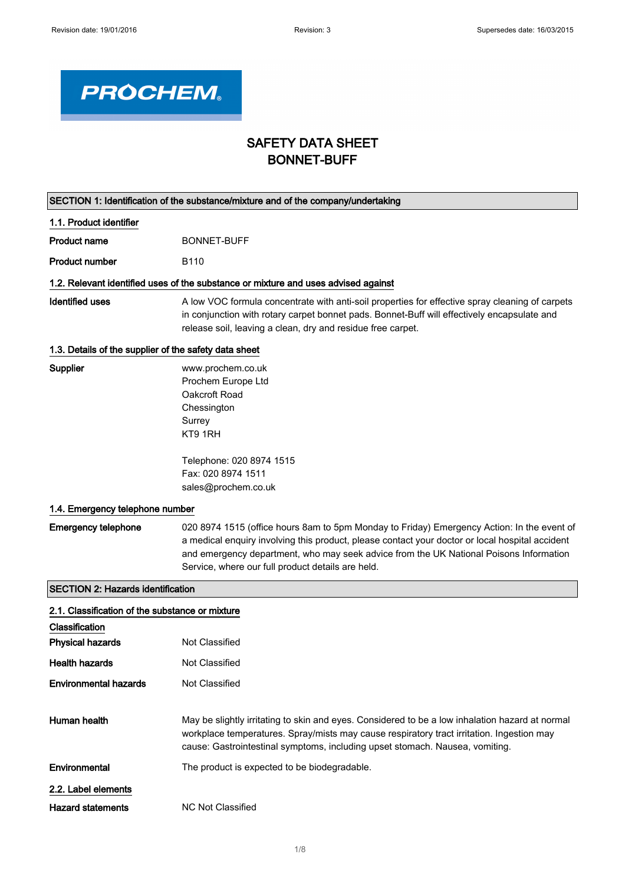

# SAFETY DATA SHEET BONNET-BUFF

| SECTION 1: Identification of the substance/mixture and of the company/undertaking |                                                                                                                                                                                                                                                                                                                                              |  |
|-----------------------------------------------------------------------------------|----------------------------------------------------------------------------------------------------------------------------------------------------------------------------------------------------------------------------------------------------------------------------------------------------------------------------------------------|--|
| 1.1. Product identifier                                                           |                                                                                                                                                                                                                                                                                                                                              |  |
| <b>Product name</b>                                                               | <b>BONNET-BUFF</b>                                                                                                                                                                                                                                                                                                                           |  |
| <b>Product number</b>                                                             | B <sub>110</sub>                                                                                                                                                                                                                                                                                                                             |  |
|                                                                                   | 1.2. Relevant identified uses of the substance or mixture and uses advised against                                                                                                                                                                                                                                                           |  |
| <b>Identified uses</b>                                                            | A low VOC formula concentrate with anti-soil properties for effective spray cleaning of carpets<br>in conjunction with rotary carpet bonnet pads. Bonnet-Buff will effectively encapsulate and<br>release soil, leaving a clean, dry and residue free carpet.                                                                                |  |
| 1.3. Details of the supplier of the safety data sheet                             |                                                                                                                                                                                                                                                                                                                                              |  |
| Supplier                                                                          | www.prochem.co.uk<br>Prochem Europe Ltd<br>Oakcroft Road<br>Chessington<br>Surrey<br>KT9 1RH                                                                                                                                                                                                                                                 |  |
|                                                                                   | Telephone: 020 8974 1515<br>Fax: 020 8974 1511<br>sales@prochem.co.uk                                                                                                                                                                                                                                                                        |  |
| 1.4. Emergency telephone number                                                   |                                                                                                                                                                                                                                                                                                                                              |  |
| <b>Emergency telephone</b>                                                        | 020 8974 1515 (office hours 8am to 5pm Monday to Friday) Emergency Action: In the event of<br>a medical enquiry involving this product, please contact your doctor or local hospital accident<br>and emergency department, who may seek advice from the UK National Poisons Information<br>Service, where our full product details are held. |  |
| <b>SECTION 2: Hazards identification</b>                                          |                                                                                                                                                                                                                                                                                                                                              |  |
| 2.1. Classification of the substance or mixture                                   |                                                                                                                                                                                                                                                                                                                                              |  |
| Classification                                                                    |                                                                                                                                                                                                                                                                                                                                              |  |
| <b>Physical hazards</b>                                                           | <b>Not Classified</b>                                                                                                                                                                                                                                                                                                                        |  |
| <b>Health hazards</b>                                                             | Not Classified                                                                                                                                                                                                                                                                                                                               |  |
| <b>Environmental hazards</b>                                                      | <b>Not Classified</b>                                                                                                                                                                                                                                                                                                                        |  |
| Human health                                                                      | May be slightly irritating to skin and eyes. Considered to be a low inhalation hazard at normal<br>workplace temperatures. Spray/mists may cause respiratory tract irritation. Ingestion may<br>cause: Gastrointestinal symptoms, including upset stomach. Nausea, vomiting.                                                                 |  |
| Environmental                                                                     | The product is expected to be biodegradable.                                                                                                                                                                                                                                                                                                 |  |
| 2.2. Label elements                                                               |                                                                                                                                                                                                                                                                                                                                              |  |
| <b>Hazard statements</b>                                                          | <b>NC Not Classified</b>                                                                                                                                                                                                                                                                                                                     |  |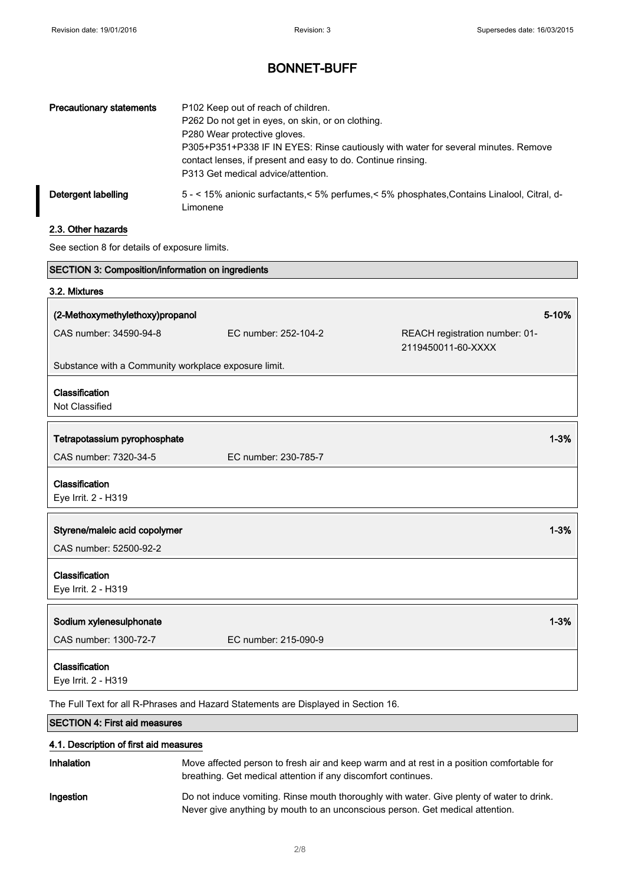# BONNET-BUFF

| <b>Precautionary statements</b> | P102 Keep out of reach of children.<br>P262 Do not get in eyes, on skin, or on clothing.<br>P280 Wear protective gloves.<br>P305+P351+P338 IF IN EYES: Rinse cautiously with water for several minutes. Remove<br>contact lenses, if present and easy to do. Continue rinsing.<br>P313 Get medical advice/attention. |
|---------------------------------|----------------------------------------------------------------------------------------------------------------------------------------------------------------------------------------------------------------------------------------------------------------------------------------------------------------------|
| Detergent labelling             | 5 - < 15% anionic surfactants, < 5% perfumes, < 5% phosphates, Contains Linalool, Citral, d-<br>Limonene                                                                                                                                                                                                             |

## 2.3. Other hazards

See section 8 for details of exposure limits.

| SECTION 3: Composition/information on ingredients                                  |                      |                                                      |
|------------------------------------------------------------------------------------|----------------------|------------------------------------------------------|
| 3.2. Mixtures                                                                      |                      |                                                      |
| (2-Methoxymethylethoxy)propanol                                                    |                      | 5-10%                                                |
| CAS number: 34590-94-8                                                             | EC number: 252-104-2 | REACH registration number: 01-<br>2119450011-60-XXXX |
| Substance with a Community workplace exposure limit.                               |                      |                                                      |
| Classification                                                                     |                      |                                                      |
| Not Classified                                                                     |                      |                                                      |
| Tetrapotassium pyrophosphate                                                       |                      | $1 - 3%$                                             |
| CAS number: 7320-34-5                                                              | EC number: 230-785-7 |                                                      |
| Classification                                                                     |                      |                                                      |
| Eye Irrit. 2 - H319                                                                |                      |                                                      |
| Styrene/maleic acid copolymer                                                      |                      | $1 - 3%$                                             |
| CAS number: 52500-92-2                                                             |                      |                                                      |
| Classification                                                                     |                      |                                                      |
| Eye Irrit. 2 - H319                                                                |                      |                                                      |
| Sodium xylenesulphonate                                                            |                      | $1 - 3%$                                             |
| CAS number: 1300-72-7                                                              | EC number: 215-090-9 |                                                      |
| Classification<br>Eye Irrit. 2 - H319                                              |                      |                                                      |
| The Full Text for all R-Phrases and Hazard Statements are Displayed in Section 16. |                      |                                                      |

SECTION 4: First aid measures

### 4.1. Description of first aid measures

| Inhalation | Move affected person to fresh air and keep warm and at rest in a position comfortable for<br>breathing. Get medical attention if any discomfort continues.                 |
|------------|----------------------------------------------------------------------------------------------------------------------------------------------------------------------------|
| Ingestion  | Do not induce vomiting. Rinse mouth thoroughly with water. Give plenty of water to drink.<br>Never give anything by mouth to an unconscious person. Get medical attention. |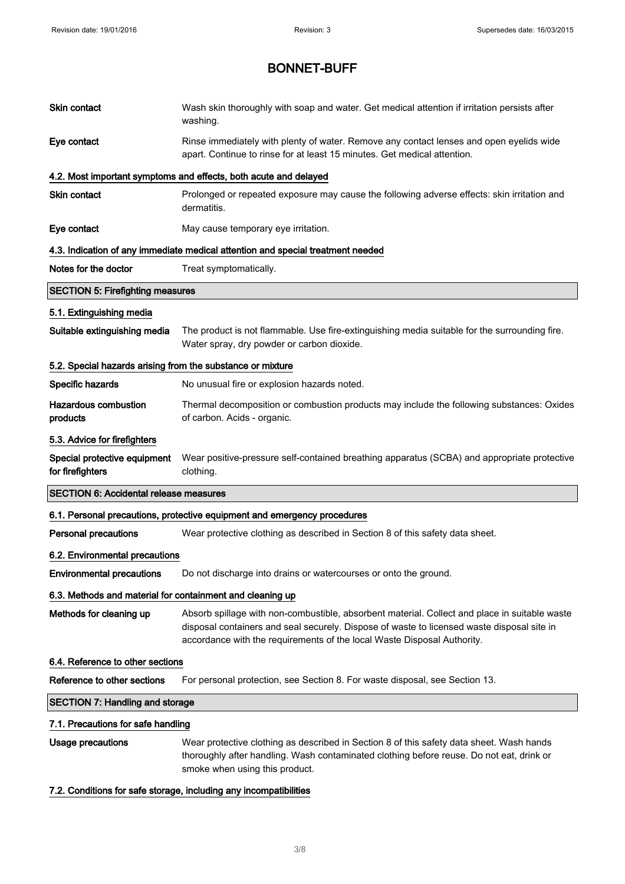| <b>Skin contact</b>                                        | Wash skin thoroughly with soap and water. Get medical attention if irritation persists after<br>washing.                                                                                                                                                               |
|------------------------------------------------------------|------------------------------------------------------------------------------------------------------------------------------------------------------------------------------------------------------------------------------------------------------------------------|
| Eye contact                                                | Rinse immediately with plenty of water. Remove any contact lenses and open eyelids wide<br>apart. Continue to rinse for at least 15 minutes. Get medical attention.                                                                                                    |
|                                                            | 4.2. Most important symptoms and effects, both acute and delayed                                                                                                                                                                                                       |
| <b>Skin contact</b>                                        | Prolonged or repeated exposure may cause the following adverse effects: skin irritation and<br>dermatitis.                                                                                                                                                             |
| Eye contact                                                | May cause temporary eye irritation.                                                                                                                                                                                                                                    |
|                                                            | 4.3. Indication of any immediate medical attention and special treatment needed                                                                                                                                                                                        |
| Notes for the doctor                                       | Treat symptomatically.                                                                                                                                                                                                                                                 |
| <b>SECTION 5: Firefighting measures</b>                    |                                                                                                                                                                                                                                                                        |
| 5.1. Extinguishing media                                   |                                                                                                                                                                                                                                                                        |
| Suitable extinguishing media                               | The product is not flammable. Use fire-extinguishing media suitable for the surrounding fire.<br>Water spray, dry powder or carbon dioxide.                                                                                                                            |
| 5.2. Special hazards arising from the substance or mixture |                                                                                                                                                                                                                                                                        |
| Specific hazards                                           | No unusual fire or explosion hazards noted.                                                                                                                                                                                                                            |
| <b>Hazardous combustion</b><br>products                    | Thermal decomposition or combustion products may include the following substances: Oxides<br>of carbon. Acids - organic.                                                                                                                                               |
| 5.3. Advice for firefighters                               |                                                                                                                                                                                                                                                                        |
| Special protective equipment<br>for firefighters           | Wear positive-pressure self-contained breathing apparatus (SCBA) and appropriate protective<br>clothing.                                                                                                                                                               |
| <b>SECTION 6: Accidental release measures</b>              |                                                                                                                                                                                                                                                                        |
|                                                            | 6.1. Personal precautions, protective equipment and emergency procedures                                                                                                                                                                                               |
| <b>Personal precautions</b>                                | Wear protective clothing as described in Section 8 of this safety data sheet.                                                                                                                                                                                          |
| 6.2. Environmental precautions                             |                                                                                                                                                                                                                                                                        |
| <b>Environmental precautions</b>                           | Do not discharge into drains or watercourses or onto the ground.                                                                                                                                                                                                       |
| 6.3. Methods and material for containment and cleaning up  |                                                                                                                                                                                                                                                                        |
| Methods for cleaning up                                    | Absorb spillage with non-combustible, absorbent material. Collect and place in suitable waste<br>disposal containers and seal securely. Dispose of waste to licensed waste disposal site in<br>accordance with the requirements of the local Waste Disposal Authority. |
| 6.4. Reference to other sections                           |                                                                                                                                                                                                                                                                        |
| Reference to other sections                                | For personal protection, see Section 8. For waste disposal, see Section 13.                                                                                                                                                                                            |
| <b>SECTION 7: Handling and storage</b>                     |                                                                                                                                                                                                                                                                        |
| 7.1. Precautions for safe handling                         |                                                                                                                                                                                                                                                                        |
| Usage precautions                                          | Wear protective clothing as described in Section 8 of this safety data sheet. Wash hands<br>thoroughly after handling. Wash contaminated clothing before reuse. Do not eat, drink or<br>smoke when using this product.                                                 |
|                                                            | 7.2. Conditions for safe storage, including any incompatibilities                                                                                                                                                                                                      |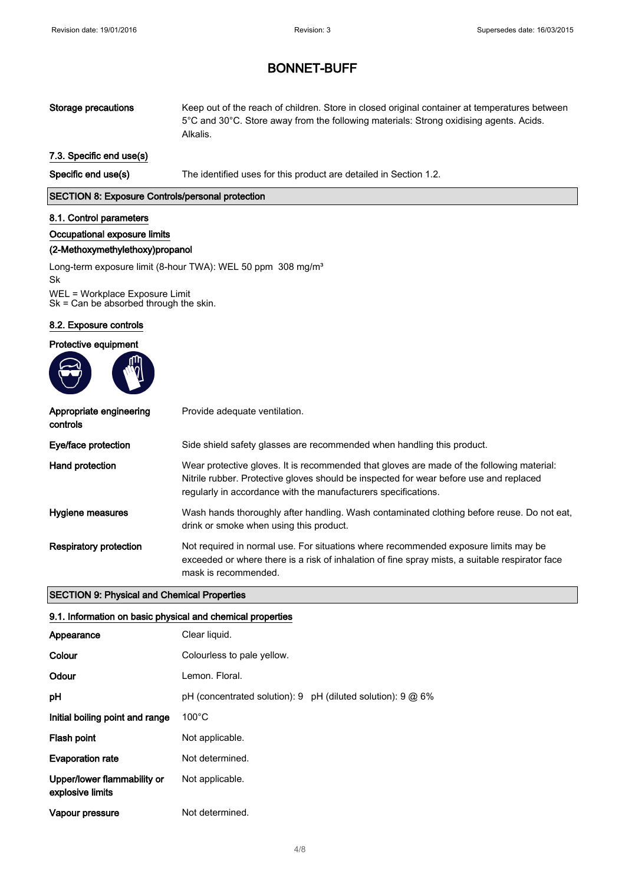Storage precautions Keep out of the reach of children. Store in closed original container at temperatures between 5°C and 30°C. Store away from the following materials: Strong oxidising agents. Acids. Alkalis.

### 7.3. Specific end use(s)

Specific end use(s) The identified uses for this product are detailed in Section 1.2.

### SECTION 8: Exposure Controls/personal protection

#### 8.1. Control parameters

#### Occupational exposure limits

## (2-Methoxymethylethoxy)propanol

Long-term exposure limit (8-hour TWA): WEL 50 ppm 308 mg/m<sup>3</sup> Sk WEL = Workplace Exposure Limit Sk = Can be absorbed through the skin.

#### 8.2. Exposure controls

#### Protective equipment



| Appropriate engineering<br>controls | Provide adequate ventilation.                                                                                                                                                                                                                         |
|-------------------------------------|-------------------------------------------------------------------------------------------------------------------------------------------------------------------------------------------------------------------------------------------------------|
| Eye/face protection                 | Side shield safety glasses are recommended when handling this product.                                                                                                                                                                                |
| Hand protection                     | Wear protective gloves. It is recommended that gloves are made of the following material:<br>Nitrile rubber. Protective gloves should be inspected for wear before use and replaced<br>regularly in accordance with the manufacturers specifications. |
| Hygiene measures                    | Wash hands thoroughly after handling. Wash contaminated clothing before reuse. Do not eat,<br>drink or smoke when using this product.                                                                                                                 |
| Respiratory protection              | Not required in normal use. For situations where recommended exposure limits may be<br>exceeded or where there is a risk of inhalation of fine spray mists, a suitable respirator face<br>mask is recommended.                                        |

#### SECTION 9: Physical and Chemical Properties

#### 9.1. Information on basic physical and chemical properties

| Appearance                                      | Clear liquid.              |
|-------------------------------------------------|----------------------------|
| Colour                                          | Colourless to pale yellow. |
| Odour                                           | Lemon, Floral.             |
| pH                                              |                            |
| Initial boiling point and range                 | $100^{\circ}$ C            |
| Flash point                                     | Not applicable.            |
| <b>Evaporation rate</b>                         | Not determined.            |
| Upper/lower flammability or<br>explosive limits | Not applicable.            |
| Vapour pressure                                 | Not determined.            |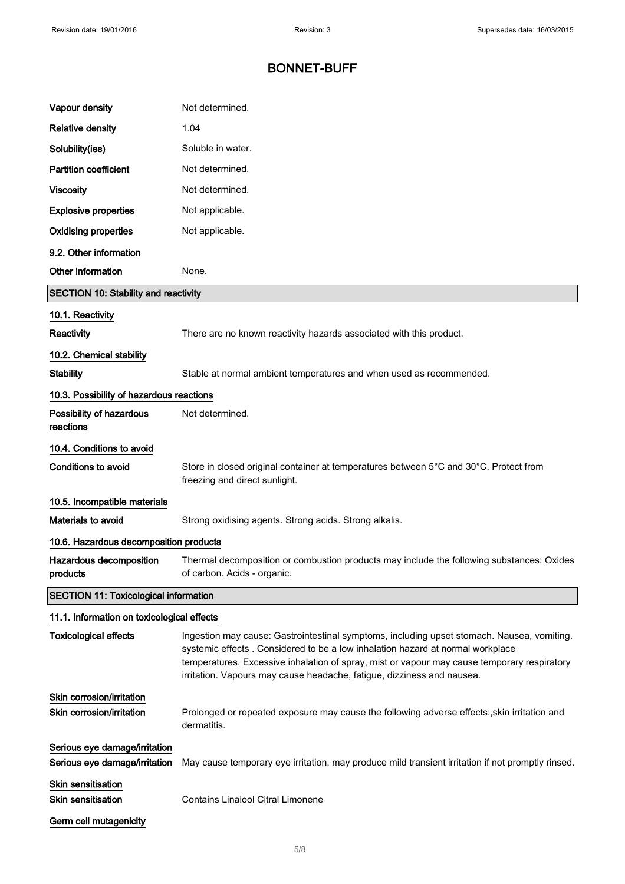| Vapour density                                                 | Not determined.                                                                                                                                                                                                                                                                                                                                        |
|----------------------------------------------------------------|--------------------------------------------------------------------------------------------------------------------------------------------------------------------------------------------------------------------------------------------------------------------------------------------------------------------------------------------------------|
| <b>Relative density</b>                                        | 1.04                                                                                                                                                                                                                                                                                                                                                   |
| Solubility(ies)                                                | Soluble in water.                                                                                                                                                                                                                                                                                                                                      |
| <b>Partition coefficient</b>                                   | Not determined.                                                                                                                                                                                                                                                                                                                                        |
| <b>Viscosity</b>                                               | Not determined.                                                                                                                                                                                                                                                                                                                                        |
| <b>Explosive properties</b>                                    | Not applicable.                                                                                                                                                                                                                                                                                                                                        |
| <b>Oxidising properties</b>                                    | Not applicable.                                                                                                                                                                                                                                                                                                                                        |
| 9.2. Other information                                         |                                                                                                                                                                                                                                                                                                                                                        |
| Other information                                              | None.                                                                                                                                                                                                                                                                                                                                                  |
| <b>SECTION 10: Stability and reactivity</b>                    |                                                                                                                                                                                                                                                                                                                                                        |
| 10.1. Reactivity                                               |                                                                                                                                                                                                                                                                                                                                                        |
| Reactivity                                                     | There are no known reactivity hazards associated with this product.                                                                                                                                                                                                                                                                                    |
| 10.2. Chemical stability                                       |                                                                                                                                                                                                                                                                                                                                                        |
| <b>Stability</b>                                               | Stable at normal ambient temperatures and when used as recommended.                                                                                                                                                                                                                                                                                    |
| 10.3. Possibility of hazardous reactions                       |                                                                                                                                                                                                                                                                                                                                                        |
| Possibility of hazardous<br>reactions                          | Not determined.                                                                                                                                                                                                                                                                                                                                        |
| 10.4. Conditions to avoid                                      |                                                                                                                                                                                                                                                                                                                                                        |
| <b>Conditions to avoid</b>                                     | Store in closed original container at temperatures between 5°C and 30°C. Protect from<br>freezing and direct sunlight.                                                                                                                                                                                                                                 |
| 10.5. Incompatible materials                                   |                                                                                                                                                                                                                                                                                                                                                        |
| Materials to avoid                                             | Strong oxidising agents. Strong acids. Strong alkalis.                                                                                                                                                                                                                                                                                                 |
| 10.6. Hazardous decomposition products                         |                                                                                                                                                                                                                                                                                                                                                        |
| Hazardous decomposition<br>products                            | Thermal decomposition or combustion products may include the following substances: Oxides<br>of carbon. Acids - organic.                                                                                                                                                                                                                               |
| <b>SECTION 11: Toxicological information</b>                   |                                                                                                                                                                                                                                                                                                                                                        |
| 11.1. Information on toxicological effects                     |                                                                                                                                                                                                                                                                                                                                                        |
| <b>Toxicological effects</b>                                   | Ingestion may cause: Gastrointestinal symptoms, including upset stomach. Nausea, vomiting.<br>systemic effects . Considered to be a low inhalation hazard at normal workplace<br>temperatures. Excessive inhalation of spray, mist or vapour may cause temporary respiratory<br>irritation. Vapours may cause headache, fatigue, dizziness and nausea. |
| Skin corrosion/irritation                                      |                                                                                                                                                                                                                                                                                                                                                        |
| Skin corrosion/irritation                                      | Prolonged or repeated exposure may cause the following adverse effects:, skin irritation and<br>dermatitis.                                                                                                                                                                                                                                            |
| Serious eye damage/irritation<br>Serious eye damage/irritation | May cause temporary eye irritation. may produce mild transient irritation if not promptly rinsed.                                                                                                                                                                                                                                                      |
| <b>Skin sensitisation</b><br><b>Skin sensitisation</b>         | Contains Linalool Citral Limonene                                                                                                                                                                                                                                                                                                                      |
| Germ cell mutagenicity                                         |                                                                                                                                                                                                                                                                                                                                                        |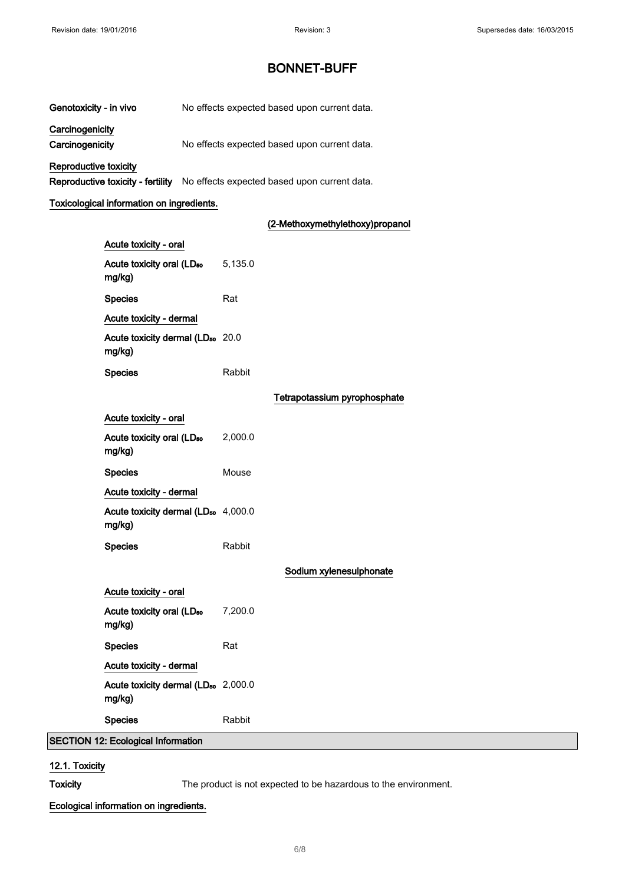Genotoxicity - in vivo No effects expected based upon current data.

**Carcinogenicity** 

Carcinogenicity Mo effects expected based upon current data.

Reproductive toxicity

Reproductive toxicity - fertility No effects expected based upon current data.

#### Toxicological information on ingredients.

### (2-Methoxymethylethoxy)propanol

| Acute toxicity - oral                                     |         |                              |
|-----------------------------------------------------------|---------|------------------------------|
| Acute toxicity oral (LD <sub>50</sub><br>mg/kg)           | 5,135.0 |                              |
| <b>Species</b>                                            | Rat     |                              |
| Acute toxicity - dermal                                   |         |                              |
| Acute toxicity dermal (LD <sub>50</sub> 20.0<br>mg/kg)    |         |                              |
| <b>Species</b>                                            | Rabbit  |                              |
|                                                           |         | Tetrapotassium pyrophosphate |
| Acute toxicity - oral                                     |         |                              |
| Acute toxicity oral (LD <sub>50</sub><br>mg/kg)           | 2,000.0 |                              |
| <b>Species</b>                                            | Mouse   |                              |
| Acute toxicity - dermal                                   |         |                              |
| Acute toxicity dermal (LD <sub>50</sub> 4,000.0<br>mg/kg) |         |                              |
| <b>Species</b>                                            | Rabbit  |                              |
|                                                           |         | Sodium xylenesulphonate      |
| Acute toxicity - oral                                     |         |                              |
| Acute toxicity oral (LD <sub>50</sub><br>mg/kg)           | 7,200.0 |                              |
| <b>Species</b>                                            | Rat     |                              |
| Acute toxicity - dermal                                   |         |                              |
| Acute toxicity dermal (LD <sub>50</sub> 2,000.0<br>mg/kg) |         |                              |
| <b>Species</b>                                            | Rabbit  |                              |
| 12: Ecological Information                                |         |                              |

#### 12.1. Toxicity

 $|$ SECTION

Toxicity The product is not expected to be hazardous to the environment.

#### Ecological information on ingredients.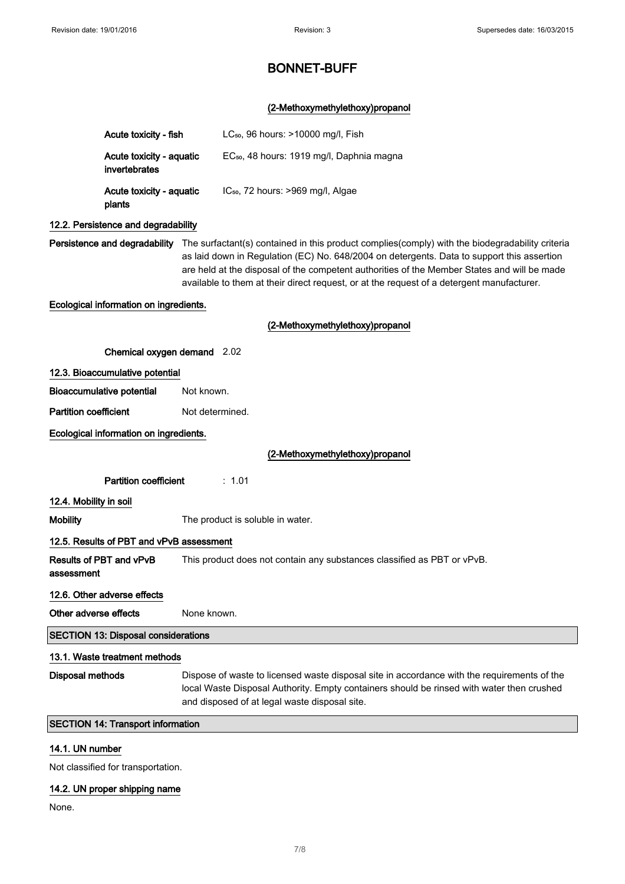## (2-Methoxymethylethoxy)propanol

|                              | Acute toxicity - fish                      | LC <sub>50</sub> , 96 hours: >10000 mg/l, Fish                                                                                                                                                                                                                                                                                                                                                                          |  |
|------------------------------|--------------------------------------------|-------------------------------------------------------------------------------------------------------------------------------------------------------------------------------------------------------------------------------------------------------------------------------------------------------------------------------------------------------------------------------------------------------------------------|--|
|                              |                                            |                                                                                                                                                                                                                                                                                                                                                                                                                         |  |
|                              | Acute toxicity - aquatic<br>invertebrates  | EC <sub>50</sub> , 48 hours: 1919 mg/l, Daphnia magna                                                                                                                                                                                                                                                                                                                                                                   |  |
|                              | Acute toxicity - aquatic<br>plants         | IC <sub>50</sub> , 72 hours: >969 mg/l, Algae                                                                                                                                                                                                                                                                                                                                                                           |  |
|                              | 12.2. Persistence and degradability        |                                                                                                                                                                                                                                                                                                                                                                                                                         |  |
|                              |                                            | Persistence and degradability The surfactant(s) contained in this product complies(comply) with the biodegradability criteria<br>as laid down in Regulation (EC) No. 648/2004 on detergents. Data to support this assertion<br>are held at the disposal of the competent authorities of the Member States and will be made<br>available to them at their direct request, or at the request of a detergent manufacturer. |  |
|                              | Ecological information on ingredients.     |                                                                                                                                                                                                                                                                                                                                                                                                                         |  |
|                              |                                            | (2-Methoxymethylethoxy)propanol                                                                                                                                                                                                                                                                                                                                                                                         |  |
|                              | Chemical oxygen demand 2.02                |                                                                                                                                                                                                                                                                                                                                                                                                                         |  |
|                              | 12.3. Bioaccumulative potential            |                                                                                                                                                                                                                                                                                                                                                                                                                         |  |
|                              | <b>Bioaccumulative potential</b>           | Not known.                                                                                                                                                                                                                                                                                                                                                                                                              |  |
| <b>Partition coefficient</b> |                                            | Not determined.                                                                                                                                                                                                                                                                                                                                                                                                         |  |
|                              | Ecological information on ingredients.     |                                                                                                                                                                                                                                                                                                                                                                                                                         |  |
|                              |                                            | (2-Methoxymethylethoxy)propanol                                                                                                                                                                                                                                                                                                                                                                                         |  |
|                              | <b>Partition coefficient</b>               | : 1.01                                                                                                                                                                                                                                                                                                                                                                                                                  |  |
| 12.4. Mobility in soil       |                                            |                                                                                                                                                                                                                                                                                                                                                                                                                         |  |
| Mobility                     |                                            | The product is soluble in water.                                                                                                                                                                                                                                                                                                                                                                                        |  |
|                              | 12.5. Results of PBT and vPvB assessment   |                                                                                                                                                                                                                                                                                                                                                                                                                         |  |
| assessment                   | <b>Results of PBT and vPvB</b>             | This product does not contain any substances classified as PBT or vPvB.                                                                                                                                                                                                                                                                                                                                                 |  |
|                              | 12.6. Other adverse effects                |                                                                                                                                                                                                                                                                                                                                                                                                                         |  |
| Other adverse effects        |                                            | None known.                                                                                                                                                                                                                                                                                                                                                                                                             |  |
|                              | <b>SECTION 13: Disposal considerations</b> |                                                                                                                                                                                                                                                                                                                                                                                                                         |  |
|                              | 13.1. Waste treatment methods              |                                                                                                                                                                                                                                                                                                                                                                                                                         |  |
| <b>Disposal methods</b>      |                                            | Dispose of waste to licensed waste disposal site in accordance with the requirements of the<br>local Waste Disposal Authority. Empty containers should be rinsed with water then crushed<br>and disposed of at legal waste disposal site.                                                                                                                                                                               |  |
|                              | <b>SECTION 14: Transport information</b>   |                                                                                                                                                                                                                                                                                                                                                                                                                         |  |
|                              |                                            |                                                                                                                                                                                                                                                                                                                                                                                                                         |  |

## 14.1. UN number

Not classified for transportation.

## 14.2. UN proper shipping name

None.